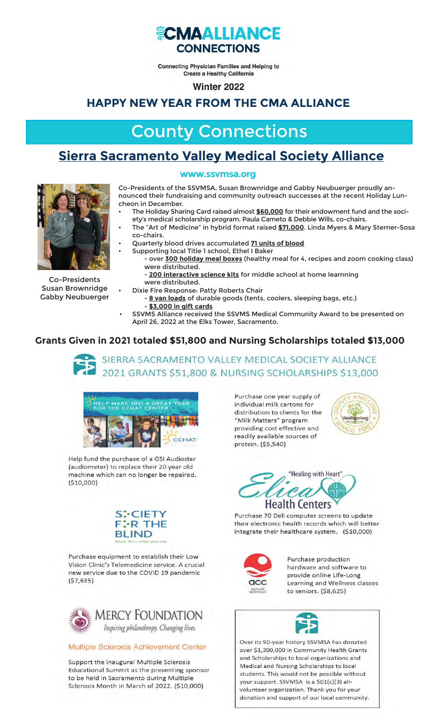

**Connecting Physician Families and Helping to Create a Healthy California** 

Winter 2022

### **HAPPY NEW YEAR FROM THE CMA ALLIANCE**

# County Connections

## **Sierra Sacramento Valley Medical Society Alliance**





Co-Presidents Susan Brownridge Gabby Neubuerger Co-Presidents of the SSVMSA, Susan Brownridge and Gabby Neubuerger proudly announced their fundraising and community outreach successes at the recent Holiday Luncheon in December.

- The Holiday Sharing Card raised almost \$60,000 for their endowment fund and the society's medical scholarship program. Paula Cameto & Debbie Wills, co-chairs.
- The "Art of Medicine" in hybrid format raised \$71,000. Linda Myers & Mary Sterner-Sosa co-chairs.
- Quarterly blood drives accumulated **71 units of blood** 
	- Supporting local Title 1 school, Ethel I Baker - over **300 holiday meal boxes** (healthy meal for 4, recipes and zoom cooking class)
		- were distributed.
		- **200 interactive science kits** for middle school at home learnning were distributed.
	- Dixie Fire Response: Patty Roberts Chair
	- **8 van loads** of durable goods (tents, coolers, sleeping bags, etc.) - **\$3,000 in gift cards**
- SSVMS Alliance received the SSVMS Medical Community Award to be presented on April 26, 2022 at the Elks Tower, Sacramento.

### **Grants Given in 2021 totaled \$51,800 and Nursing Scholarships totaled \$13,000**





Help fund the purchase of a GSI Audiostar (audiometer) to replace their 20 year old machine which can no longer be repaired.  $(510,000)$ 



Purchase equipment to establish their Low Vision Clinic's Telemedicine service. A crucial new service due to the COVID 19 pandemic  $( $7,635)$ 



#### Multiple Sclerosis Achievement Center

Support the inaugural Multiple Sclerosis Educational Summit as the presenting sponsor to be held in Sacramento during Multiple Sclerosis Month in March of 2022. (\$10,000)

Purchase one year supply of individual milk cartons for distribution to clients for the "Milk Matters" program providing cost effective and readily available sources of protein. (\$5,540)



"Healing with Heart" rci **Health Centers** 

Purchase 70 Dell computer screens to update their electronic health records which will better integrate their healthcare system. (\$10,000)



Purchase production hardware and software to provide online Life-Long Learning and Wellness classes to seniors. (\$8,625)



Over its 90-year history SSVMSA has donated over \$1,300,000 in Community Health Grants and Scholarships to local organizations and Medical and Nursing Scholarships to local students. This would not be possible without your support. SSVMSA is a 501(c)(3) allvolunteer organization. Thank you for your donation and support of our local community.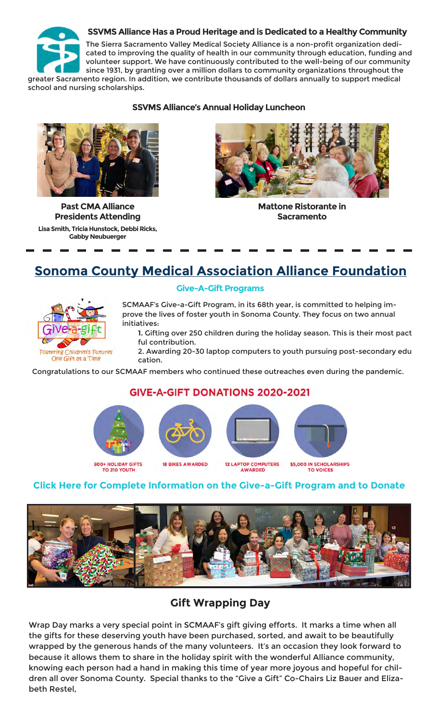#### **SSVMS Alliance Has a Proud Heritage and is Dedicated to a Healthy Community**



The Sierra Sacramento Valley Medical Society Alliance is a non-profit organization dedicated to improving the quality of health in our community through education, funding and volunteer support. We have continuously contributed to the well-being of our community since 1931, by granting over a million dollars to community organizations throughout the

greater Sacramento region. In addition, we contribute thousands of dollars annually to support medical school and nursing scholarships.

#### **SSVMS Alliance's Annual Holiday Luncheon**



**Past CMA Alliance Presidents Attending**

**Lisa Smith, Tricia Hunstock, Debbi Ricks, Gabby Neubuerger**



**Mattone Ristorante in Sacramento**

### **Sonoma County Medical Association Alliance Foundation**



**Give-A-Gift Programs**

SCMAAF's Give-a-Gift Program, in its 68th year, is committed to helping improve the lives of foster youth in Sonoma County. They focus on two annual initiatives:

**1.** Gifting over 250 children during the holiday season. This is their most pact ful contribution.

2. Awarding 20-30 laptop computers to youth pursuing post-secondary edu cation.

Congratulations to our SCMAAF members who continued these outreaches even during the pandemic.

### **GIVE-A-GIFT DONATIONS 2020-2021**











**800+ HOLIDAY GIFTS** TO 210 YOUTH

**12 LAPTOP COMPUTERS** AWARDED

\$5,000 IN SCHOLARSHIPS

#### **Click Here for Complete Information on the Give-a-Gift Program and to Donate**



### **Gift Wrapping Day**

Wrap Day marks a very special point in SCMAAF's gift giving efforts. It marks a time when all the gifts for these deserving youth have been purchased, sorted, and await to be beautifully wrapped by the generous hands of the many volunteers. It's an occasion they look forward to because it allows them to share in the holiday spirit with the wonderful Alliance community, knowing each person had a hand in making this time of year more joyous and hopeful for children all over Sonoma County. Special thanks to the "Give a Gift" Co-Chairs Liz Bauer and Elizabeth Restel,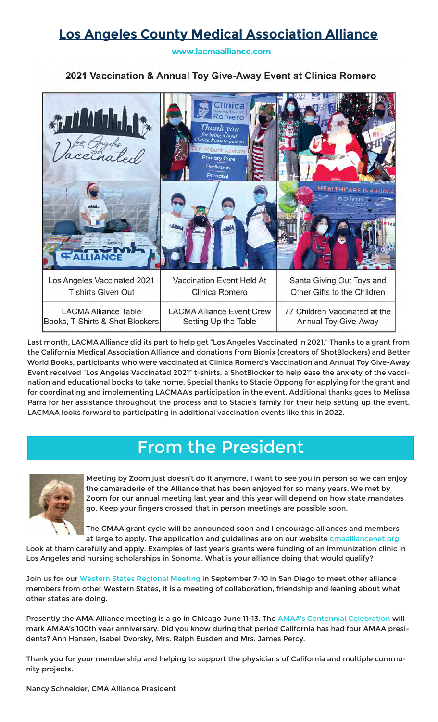# **Los Angeles County Medical Association Alliance**

**www.lacmaalliance.com**

### 2021 Vaccination & Annual Toy Give-Away Event at Clinica Romero



Last month, LACMA Alliance did its part to help get "Los Angeles Vaccinated in 2021." Thanks to a grant from the California Medical Association Alliance and donations from Bionix (creators of ShotBlockers) and Better World Books, participants who were vaccinated at Clinica Romero's Vaccination and Annual Toy Give-Away Event received "Los Angeles Vaccinated 2021" t-shirts, a ShotBlocker to help ease the anxiety of the vaccination and educational books to take home. Special thanks to Stacie Oppong for applying for the grant and for coordinating and implementing LACMAA's participation in the event. Additional thanks goes to Melissa Parra for her assistance throughout the process and to Stacie's family for their help setting up the event. LACMAA looks forward to participating in additional vaccination events like this in 2022.

# From the President



Meeting by Zoom just doesn't do it anymore, I want to see you in person so we can enjoy the camaraderie of the Alliance that has been enjoyed for so many years. We met by Zoom for our annual meeting last year and this year will depend on how state mandates go. Keep your fingers crossed that in person meetings are possible soon.

The CMAA grant cycle will be announced soon and I encourage alliances and members at large to apply. The application and guidelines are on our website cmaalliancenet.org.

Look at them carefully and apply. Examples of last year's grants were funding of an immunization clinic in Los Angeles and nursing scholarships in Sonoma. What is your alliance doing that would qualify?

Join us for our Western States Regional Meeting in September 7-10 in San Diego to meet other alliance members from other Western States, it is a meeting of collaboration, friendship and leaning about what other states are doing.

Presently the AMA Alliance meeting is a go in Chicago June 11-13. The AMAA's Centennial Celebration will mark AMAA's 100th year anniversary. Did you know during that period California has had four AMAA presidents? Ann Hansen, Isabel Dvorsky, Mrs. Ralph Eusden and Mrs. James Percy.

Thank you for your membership and helping to support the physicians of California and multiple community projects.